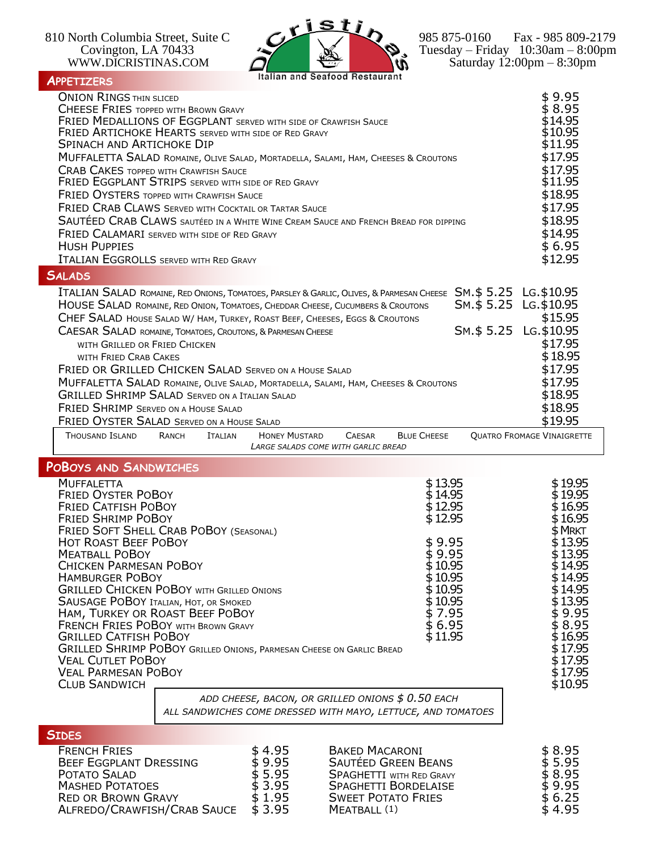WWW.DICRISTINAS.COM  $\overrightarrow{a}$   $\overrightarrow{w}$  Saturday 12:00pm – 8:30pm



Covington, LA 70433  $\sim$   $\sim$   $\sim$   $\sim$   $\sim$   $\sim$  Tuesday – Friday 10:30am – 8:00pm

## **APPETIZERS**

| AFFEI IZERJ                                                                                                                                                                                                                                                                                                                                                                                                                                                                                                                                                                                                                                                                                                                                                                                      |                                                                            |                                                                                                                                                                                                                                                              |                                                |                                                                                                                                                                                                  |
|--------------------------------------------------------------------------------------------------------------------------------------------------------------------------------------------------------------------------------------------------------------------------------------------------------------------------------------------------------------------------------------------------------------------------------------------------------------------------------------------------------------------------------------------------------------------------------------------------------------------------------------------------------------------------------------------------------------------------------------------------------------------------------------------------|----------------------------------------------------------------------------|--------------------------------------------------------------------------------------------------------------------------------------------------------------------------------------------------------------------------------------------------------------|------------------------------------------------|--------------------------------------------------------------------------------------------------------------------------------------------------------------------------------------------------|
| <b>ONION RINGS THIN SLICED</b><br><b>CHEESE FRIES TOPPED WITH BROWN GRAVY</b><br><b>FRIED MEDALLIONS OF EGGPLANT SERVED WITH SIDE OF CRAWFISH SAUCE</b><br><b>FRIED ARTICHOKE HEARTS SERVED WITH SIDE OF RED GRAVY</b><br>SPINACH AND ARTICHOKE DIP<br>MUFFALETTA SALAD ROMAINE, OLIVE SALAD, MORTADELLA, SALAMI, HAM, CHEESES & CROUTONS<br><b>CRAB CAKES TOPPED WITH CRAWFISH SAUCE</b><br><b>FRIED EGGPLANT STRIPS SERVED WITH SIDE OF RED GRAVY</b><br><b>FRIED OYSTERS TOPPED WITH CRAWFISH SAUCE</b><br><b>FRIED CRAB CLAWS SERVED WITH COCKTAIL OR TARTAR SAUCE</b><br>SAUTÉED CRAB CLAWS SAUTÉED IN A WHITE WINE CREAM SAUCE AND FRENCH BREAD FOR DIPPING<br><b>FRIED CALAMARI</b> SERVED WITH SIDE OF RED GRAVY<br><b>HUSH PUPPIES</b><br><b>ITALIAN EGGROLLS SERVED WITH RED GRAVY</b> |                                                                            |                                                                                                                                                                                                                                                              |                                                | \$9.95<br>\$8.95<br>\$14.95<br>\$10.95<br>\$11.95<br>\$17.95<br>\$17.95<br>\$11.95<br>\$18.95<br>\$17.95<br>\$18.95<br>\$14.95<br>\$6.95<br>\$12.95                                              |
| <b>SALADS</b><br>ITALIAN SALAD ROMAINE, RED ONIONS, TOMATOES, PARSLEY & GARLIC, OLIVES, & PARMESAN CHEESE SM. \$5.25 LG. \$10.95<br>HOUSE SALAD ROMAINE, RED ONION, TOMATOES, CHEDDAR CHEESE, CUCUMBERS & CROUTONS<br>CHEF SALAD HOUSE SALAD W/ HAM, TURKEY, ROAST BEEF, CHEESES, EGGS & CROUTONS<br>CAESAR SALAD ROMAINE, TOMATOES, CROUTONS, & PARMESAN CHEESE<br>WITH GRILLED OR FRIED CHICKEN<br>WITH FRIED CRAB CAKES<br>FRIED OR GRILLED CHICKEN SALAD SERVED ON A HOUSE SALAD<br>MUFFALETTA SALAD ROMAINE, OLIVE SALAD, MORTADELLA, SALAMI, HAM, CHEESES & CROUTONS<br><b>GRILLED SHRIMP SALAD SERVED ON A ITALIAN SALAD</b><br><b>FRIED SHRIMP SERVED ON A HOUSE SALAD</b><br><b>FRIED OYSTER SALAD SERVED ON A HOUSE SALAD</b>                                                          |                                                                            |                                                                                                                                                                                                                                                              | SM.\$ 5.25 LG.\$10.95<br>SM.\$ 5.25 LG.\$10.95 | \$15.95<br>\$17.95<br>\$18.95<br>\$17.95<br>\$17.95<br>\$18.95<br>\$18.95<br>\$19.95                                                                                                             |
| THOUSAND ISLAND<br>RANCH                                                                                                                                                                                                                                                                                                                                                                                                                                                                                                                                                                                                                                                                                                                                                                         | <b>HONEY MUSTARD</b><br><b>ITALIAN</b>                                     | <b>BLUE CHEESE</b><br><b>CAESAR</b><br>LARGE SALADS COME WITH GARLIC BREAD                                                                                                                                                                                   |                                                | <b>QUATRO FROMAGE VINAIGRETTE</b>                                                                                                                                                                |
| <b>POBOYS AND SANDWICHES</b><br><b>MUFFALETTA</b><br><b>FRIED OYSTER POBOY</b><br><b>FRIED CATFISH POBOY</b><br><b>FRIED SHRIMP POBOY</b><br>FRIED SOFT SHELL CRAB POBOY (SEASONAL)<br><b>HOT ROAST BEEF POBOY</b><br><b>MEATBALL POBOY</b><br><b>CHICKEN PARMESAN POBOY</b><br><b>HAMBURGER POBOY</b><br><b>GRILLED CHICKEN POBOY WITH GRILLED ONIONS</b><br><b>SAUSAGE POBOY ITALIAN, HOT, OR SMOKED</b><br>HAM, TURKEY OR ROAST BEEF POBOY<br><b>FRENCH FRIES POBOY WITH BROWN GRAVY</b><br><b>GRILLED CATFISH POBOY</b><br>GRILLED SHRIMP POBOY GRILLED ONIONS, PARMESAN CHEESE ON GARLIC BREAD<br><b>VEAL CUTLET POBOY</b><br><b>VEAL PARMESAN POBOY</b><br><b>CLUB SANDWICH</b>                                                                                                            |                                                                            | \$13.95<br>\$14.95<br>\$12.95<br>\$12.95<br>\$9.95<br>\$9.95<br>\$10.95<br>\$10.95<br>\$10.95<br>\$10.95<br>\$7.95<br>\$6.95<br>\$11.95<br>ADD CHEESE, BACON, OR GRILLED ONIONS \$ 0.50 EACH<br>ALL SANDWICHES COME DRESSED WITH MAYO, LETTUCE, AND TOMATOES |                                                | \$19.95<br>\$19.95<br>\$16.95<br>\$16.95<br>\$MRKT<br>\$13.95<br>\$13.95<br>\$14.95<br>\$14.95<br>\$14.95<br>\$13.95<br>\$9.95<br>\$ 8.95<br>\$16.95<br>\$17.95<br>\$17.95<br>\$17.95<br>\$10.95 |
| <b>SIDES</b><br><b>FRENCH FRIES</b><br><b>BEEF EGGPLANT DRESSING</b><br>POTATO SALAD<br><b>MASHED POTATOES</b><br><b>RED OR BROWN GRAVY</b><br>ALFREDO/CRAWFISH/CRAB SAUCE                                                                                                                                                                                                                                                                                                                                                                                                                                                                                                                                                                                                                       | \$4.95<br>$$9.95$<br>$$5.95$<br>3.95<br>\$<br>$\frac{1}{2}$ 1.95<br>\$3.95 | <b>BAKED MACARONI</b><br><b>SAUTÉED GREEN BEANS</b><br><b>SPAGHETTI WITH RED GRAVY</b><br><b>SPAGHETTI BORDELAISE</b><br><b>SWEET POTATO FRIES</b><br>MEATBALL (1)                                                                                           |                                                | \$ 8.95<br>$$5.95$<br>$$8.95$<br>\$9.95<br>\$6.25<br>$\dot{\$}$ 4.95                                                                                                                             |